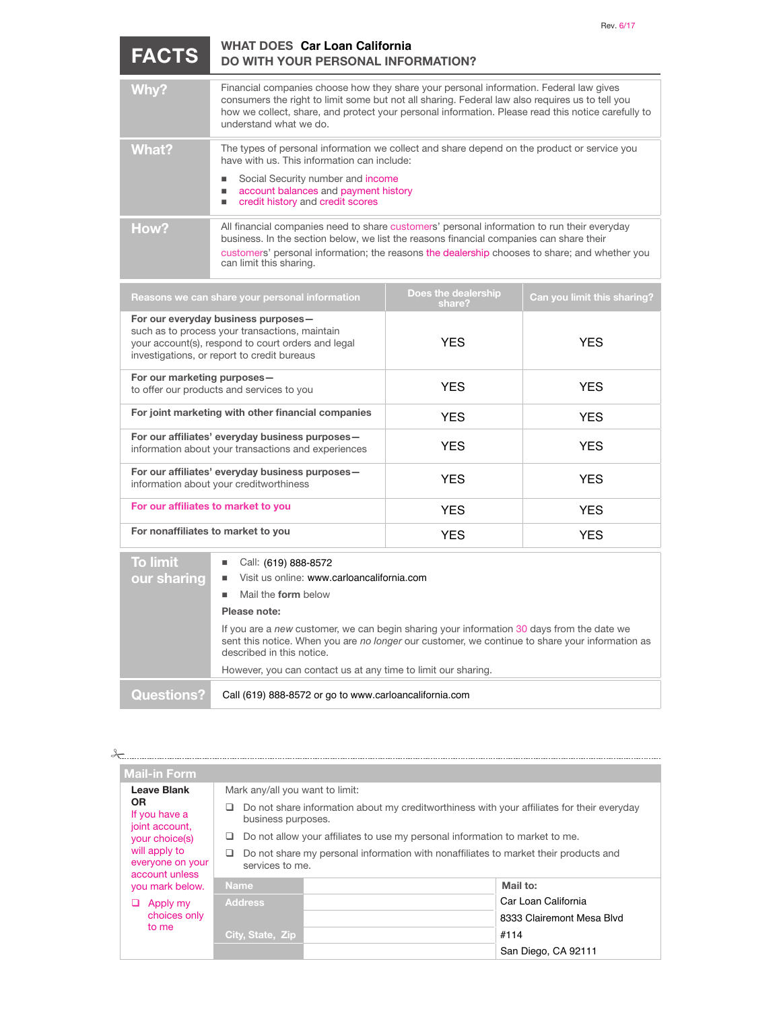| <b>FACTS</b>                                                                                                                                                                               | <b>WHAT DOES Car Loan California</b><br><b>DO WITH YOUR PERSONAL INFORMATION?</b>                                                                                                                                                                                                                                                                                                                            |            |                             |  |  |
|--------------------------------------------------------------------------------------------------------------------------------------------------------------------------------------------|--------------------------------------------------------------------------------------------------------------------------------------------------------------------------------------------------------------------------------------------------------------------------------------------------------------------------------------------------------------------------------------------------------------|------------|-----------------------------|--|--|
| Why?                                                                                                                                                                                       | Financial companies choose how they share your personal information. Federal law gives<br>consumers the right to limit some but not all sharing. Federal law also requires us to tell you<br>how we collect, share, and protect your personal information. Please read this notice carefully to<br>understand what we do.                                                                                    |            |                             |  |  |
| What?                                                                                                                                                                                      | The types of personal information we collect and share depend on the product or service you<br>have with us. This information can include:<br>Social Security number and income<br>account balances and payment history<br>ш<br>credit history and credit scores<br>п                                                                                                                                        |            |                             |  |  |
| How?                                                                                                                                                                                       | All financial companies need to share customers' personal information to run their everyday<br>business. In the section below, we list the reasons financial companies can share their<br>customers' personal information; the reasons the dealership chooses to share; and whether you<br>can limit this sharing.                                                                                           |            |                             |  |  |
|                                                                                                                                                                                            | Reasons we can share your personal information                                                                                                                                                                                                                                                                                                                                                               |            | Can you limit this sharing? |  |  |
| For our everyday business purposes-<br>such as to process your transactions, maintain<br>your account(s), respond to court orders and legal<br>investigations, or report to credit bureaus |                                                                                                                                                                                                                                                                                                                                                                                                              | <b>YES</b> | <b>YFS</b>                  |  |  |
| For our marketing purposes-                                                                                                                                                                | to offer our products and services to you                                                                                                                                                                                                                                                                                                                                                                    | <b>YFS</b> | <b>YFS</b>                  |  |  |
| For joint marketing with other financial companies                                                                                                                                         |                                                                                                                                                                                                                                                                                                                                                                                                              | <b>YFS</b> | <b>YFS</b>                  |  |  |
| For our affiliates' everyday business purposes-<br>information about your transactions and experiences                                                                                     |                                                                                                                                                                                                                                                                                                                                                                                                              | <b>YES</b> | <b>YES</b>                  |  |  |
| For our affiliates' everyday business purposes-<br>information about your creditworthiness                                                                                                 |                                                                                                                                                                                                                                                                                                                                                                                                              | <b>YFS</b> | <b>YFS</b>                  |  |  |
|                                                                                                                                                                                            | For our affiliates to market to you                                                                                                                                                                                                                                                                                                                                                                          | <b>YFS</b> | <b>YFS</b>                  |  |  |
| For nonaffiliates to market to you                                                                                                                                                         |                                                                                                                                                                                                                                                                                                                                                                                                              | <b>YES</b> | <b>YES</b>                  |  |  |
| <b>To limit</b><br>our sharing                                                                                                                                                             | Call: (619) 888-8572<br>Visit us online: www.carloancalifornia.com<br>Mail the form below<br>٠<br>Please note:<br>If you are a new customer, we can begin sharing your information 30 days from the date we<br>sent this notice. When you are no longer our customer, we continue to share your information as<br>described in this notice.<br>However, you can contact us at any time to limit our sharing. |            |                             |  |  |
| <b>Questions?</b>                                                                                                                                                                          | Call (619) 888-8572 or go to www.carloancalifornia.com                                                                                                                                                                                                                                                                                                                                                       |            |                             |  |  |

| <b>Questions?</b> | Call (619) 888-8572 or go to www.carloancalifornia.com |  |
|-------------------|--------------------------------------------------------|--|
|-------------------|--------------------------------------------------------|--|

٠

| ⊁                                                                      |                                                                                                                  |  |                           |
|------------------------------------------------------------------------|------------------------------------------------------------------------------------------------------------------|--|---------------------------|
| <b>Mail-in Form</b>                                                    |                                                                                                                  |  |                           |
| Leave Blank<br><b>OR</b><br>If you have a<br>joint account,            | Mark any/all you want to limit:                                                                                  |  |                           |
|                                                                        | Do not share information about my creditworthiness with your affiliates for their everyday<br>business purposes. |  |                           |
| your choice(s)                                                         | Do not allow your affiliates to use my personal information to market to me.                                     |  |                           |
| will apply to<br>everyone on your<br>account unless<br>you mark below. | Do not share my personal information with nonaffiliates to market their products and<br>services to me.          |  |                           |
|                                                                        | <b>Name</b>                                                                                                      |  | Mail to:                  |
| Apply my<br>⊔<br>choices only<br>to me                                 | <b>Address</b>                                                                                                   |  | Car Loan California       |
|                                                                        |                                                                                                                  |  | 8333 Clairemont Mesa Blvd |
|                                                                        | <b>City, State, Zip</b>                                                                                          |  | #114                      |
|                                                                        |                                                                                                                  |  | San Diego, CA 92111       |